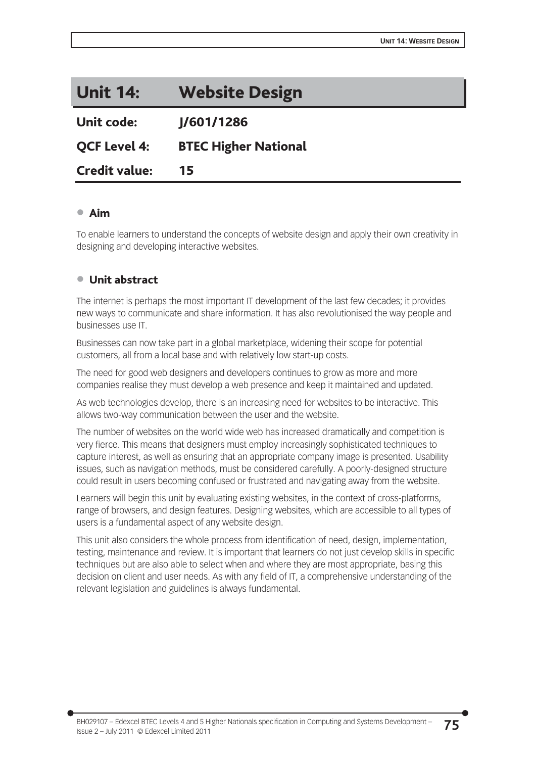| <b>Unit 14:</b>      | <b>Website Design</b>       |  |
|----------------------|-----------------------------|--|
| <b>Unit code:</b>    | J/601/1286                  |  |
| <b>OCF Level 4:</b>  | <b>BTEC Higher National</b> |  |
| <b>Credit value:</b> | 15                          |  |

### x Aim

To enable learners to understand the concepts of website design and apply their own creativity in designing and developing interactive websites.

### ● Unit abstract

The internet is perhaps the most important IT development of the last few decades; it provides new ways to communicate and share information. It has also revolutionised the way people and businesses use IT.

Businesses can now take part in a global marketplace, widening their scope for potential customers, all from a local base and with relatively low start-up costs.

The need for good web designers and developers continues to grow as more and more companies realise they must develop a web presence and keep it maintained and updated.

As web technologies develop, there is an increasing need for websites to be interactive. This allows two-way communication between the user and the website.

The number of websites on the world wide web has increased dramatically and competition is very fierce. This means that designers must employ increasingly sophisticated techniques to capture interest, as well as ensuring that an appropriate company image is presented. Usability issues, such as navigation methods, must be considered carefully. A poorly-designed structure could result in users becoming confused or frustrated and navigating away from the website.

Learners will begin this unit by evaluating existing websites, in the context of cross-platforms, range of browsers, and design features. Designing websites, which are accessible to all types of users is a fundamental aspect of any website design.

This unit also considers the whole process from identification of need, design, implementation, testing, maintenance and review. It is important that learners do not just develop skills in specific techniques but are also able to select when and where they are most appropriate, basing this decision on client and user needs. As with any field of IT, a comprehensive understanding of the relevant legislation and guidelines is always fundamental.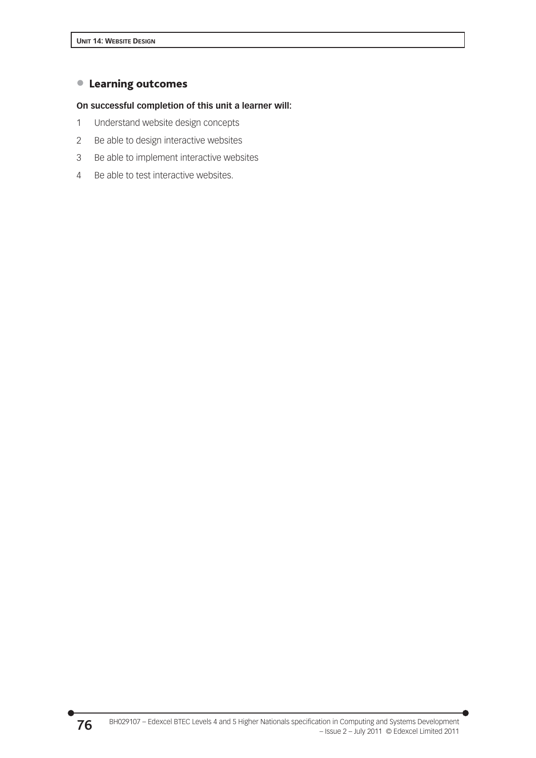## **• Learning outcomes**

### **On successful completion of this unit a learner will:**

- 1 Understand website design concepts
- 2 Be able to design interactive websites
- 3 Be able to implement interactive websites
- 4 Be able to test interactive websites.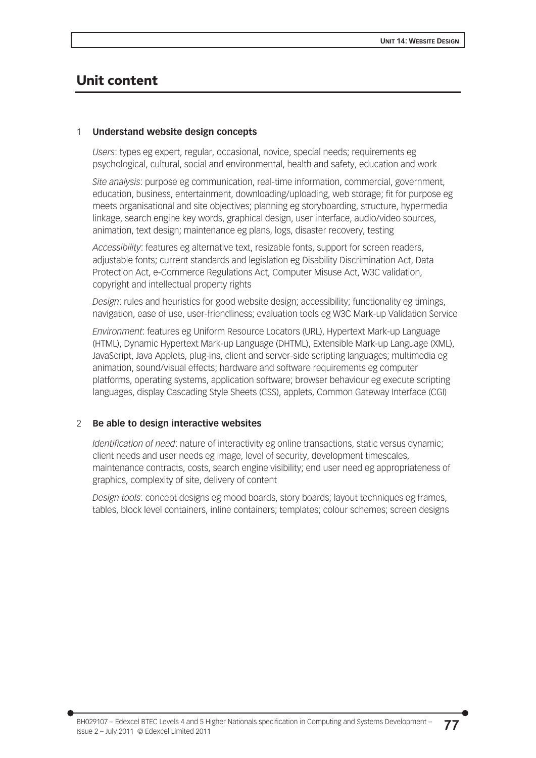## Unit content

### 1 **Understand website design concepts**

*Users*: types eg expert, regular, occasional, novice, special needs; requirements eg psychological, cultural, social and environmental, health and safety, education and work

*Site analysis*: purpose eg communication, real-time information, commercial, government, education, business, entertainment, downloading/uploading, web storage; fit for purpose eg meets organisational and site objectives; planning eg storyboarding, structure, hypermedia linkage, search engine key words, graphical design, user interface, audio/video sources, animation, text design; maintenance eg plans, logs, disaster recovery, testing

*Accessibility*: features eg alternative text, resizable fonts, support for screen readers, adjustable fonts; current standards and legislation eg Disability Discrimination Act, Data Protection Act, e-Commerce Regulations Act, Computer Misuse Act, W3C validation, copyright and intellectual property rights

*Design*: rules and heuristics for good website design; accessibility; functionality eg timings, navigation, ease of use, user-friendliness; evaluation tools eg W3C Mark-up Validation Service

*Environment*: features eg Uniform Resource Locators (URL), Hypertext Mark-up Language (HTML), Dynamic Hypertext Mark-up Language (DHTML), Extensible Mark-up Language (XML), JavaScript, Java Applets, plug-ins, client and server-side scripting languages; multimedia eg animation, sound/visual effects; hardware and software requirements eg computer platforms, operating systems, application software; browser behaviour eg execute scripting languages, display Cascading Style Sheets (CSS), applets, Common Gateway Interface (CGI)

### 2 **Be able to design interactive websites**

*Identification of need*: nature of interactivity eg online transactions, static versus dynamic; client needs and user needs eg image, level of security, development timescales, maintenance contracts, costs, search engine visibility; end user need eg appropriateness of graphics, complexity of site, delivery of content

*Design tools*: concept designs eg mood boards, story boards; layout techniques eg frames, tables, block level containers, inline containers; templates; colour schemes; screen designs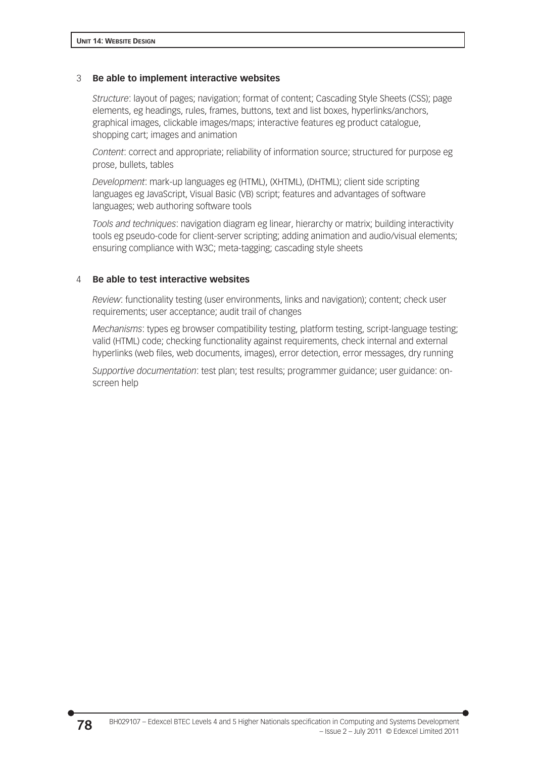### 3 **Be able to implement interactive websites**

*Structure*: layout of pages; navigation; format of content; Cascading Style Sheets (CSS); page elements, eg headings, rules, frames, buttons, text and list boxes, hyperlinks/anchors, graphical images, clickable images/maps; interactive features eg product catalogue, shopping cart; images and animation

*Content*: correct and appropriate; reliability of information source; structured for purpose eg prose, bullets, tables

*Development*: mark-up languages eg (HTML), (XHTML), (DHTML); client side scripting languages eg JavaScript, Visual Basic (VB) script; features and advantages of software languages; web authoring software tools

*Tools and techniques*: navigation diagram eg linear, hierarchy or matrix; building interactivity tools eg pseudo-code for client-server scripting; adding animation and audio/visual elements; ensuring compliance with W3C; meta-tagging; cascading style sheets

### 4 **Be able to test interactive websites**

*Review*: functionality testing (user environments, links and navigation); content; check user requirements; user acceptance; audit trail of changes

*Mechanisms*: types eg browser compatibility testing, platform testing, script-language testing; valid (HTML) code; checking functionality against requirements, check internal and external hyperlinks (web files, web documents, images), error detection, error messages, dry running

*Supportive documentation*: test plan; test results; programmer guidance; user guidance: onscreen help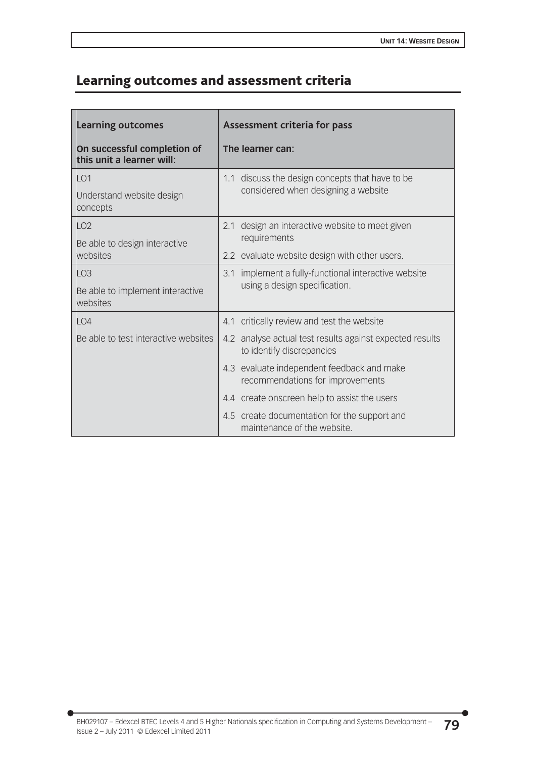# Learning outcomes and assessment criteria

| <b>Learning outcomes</b>                                 | Assessment criteria for pass                                                           |  |
|----------------------------------------------------------|----------------------------------------------------------------------------------------|--|
| On successful completion of<br>this unit a learner will: | The learner can:                                                                       |  |
| LO <sub>1</sub>                                          | 1.1 discuss the design concepts that have to be<br>considered when designing a website |  |
| Understand website design<br>concepts                    |                                                                                        |  |
| LO2                                                      | design an interactive website to meet given<br>2.1                                     |  |
| Be able to design interactive<br>websites                | requirements                                                                           |  |
|                                                          | 2.2 evaluate website design with other users.                                          |  |
| LO <sub>3</sub>                                          | 3.1 implement a fully-functional interactive website                                   |  |
| Be able to implement interactive<br>websites             | using a design specification.                                                          |  |
| LO4                                                      | 4.1 critically review and test the website                                             |  |
| Be able to test interactive websites                     | 4.2 analyse actual test results against expected results<br>to identify discrepancies  |  |
|                                                          | 4.3 evaluate independent feedback and make<br>recommendations for improvements         |  |
|                                                          | 4.4 create onscreen help to assist the users                                           |  |
|                                                          | 4.5 create documentation for the support and<br>maintenance of the website.            |  |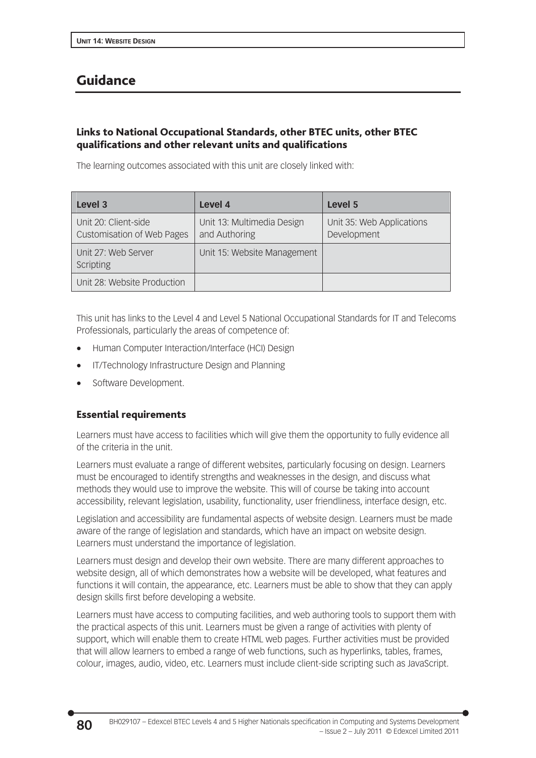## Guidance

## Links to National Occupational Standards, other BTEC units, other BTEC qualifications and other relevant units and qualifications

The learning outcomes associated with this unit are closely linked with:

| Level 3                                                   | Level 4                                     | Level 5                                  |
|-----------------------------------------------------------|---------------------------------------------|------------------------------------------|
| Unit 20: Client-side<br><b>Customisation of Web Pages</b> | Unit 13: Multimedia Design<br>and Authoring | Unit 35: Web Applications<br>Development |
| Unit 27: Web Server<br>Scripting                          | Unit 15: Website Management                 |                                          |
| Unit 28: Website Production                               |                                             |                                          |

This unit has links to the Level 4 and Level 5 National Occupational Standards for IT and Telecoms Professionals, particularly the areas of competence of:

- Human Computer Interaction/Interface (HCI) Design
- IT/Technology Infrastructure Design and Planning
- Software Development.

## Essential requirements

Learners must have access to facilities which will give them the opportunity to fully evidence all of the criteria in the unit.

Learners must evaluate a range of different websites, particularly focusing on design. Learners must be encouraged to identify strengths and weaknesses in the design, and discuss what methods they would use to improve the website. This will of course be taking into account accessibility, relevant legislation, usability, functionality, user friendliness, interface design, etc.

Legislation and accessibility are fundamental aspects of website design. Learners must be made aware of the range of legislation and standards, which have an impact on website design. Learners must understand the importance of legislation.

Learners must design and develop their own website. There are many different approaches to website design, all of which demonstrates how a website will be developed, what features and functions it will contain, the appearance, etc. Learners must be able to show that they can apply design skills first before developing a website.

Learners must have access to computing facilities, and web authoring tools to support them with the practical aspects of this unit. Learners must be given a range of activities with plenty of support, which will enable them to create HTML web pages. Further activities must be provided that will allow learners to embed a range of web functions, such as hyperlinks, tables, frames, colour, images, audio, video, etc. Learners must include client-side scripting such as JavaScript.